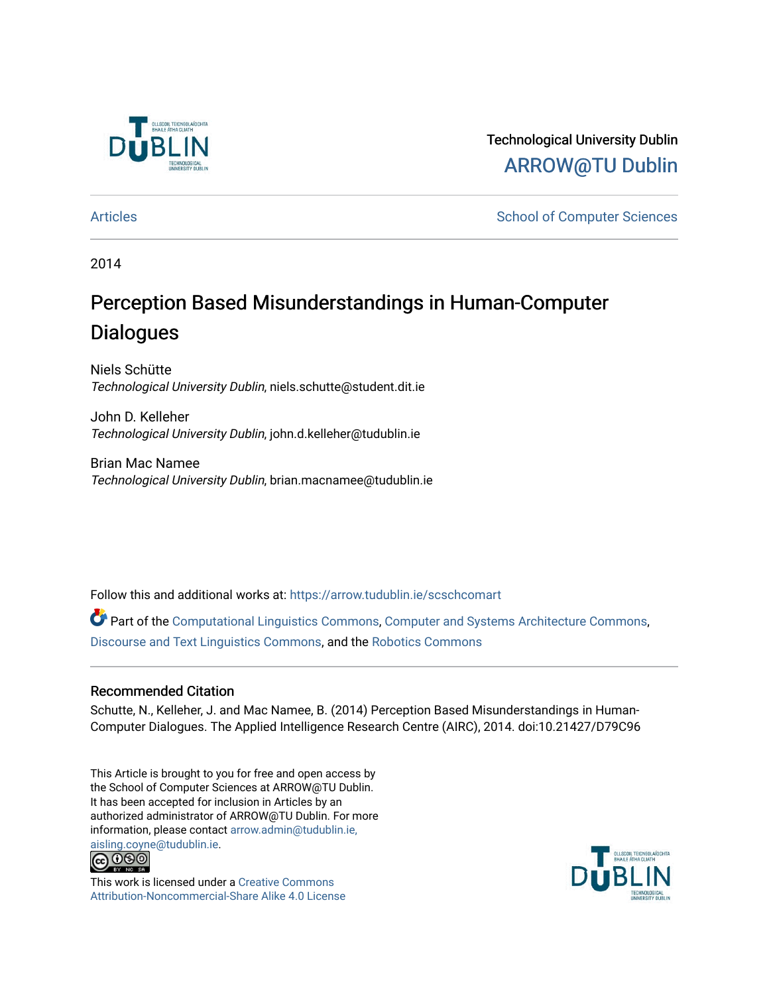

Technological University Dublin [ARROW@TU Dublin](https://arrow.tudublin.ie/) 

[Articles](https://arrow.tudublin.ie/scschcomart) **School of Computer Sciences** School of Computer Sciences

2014

# Perception Based Misunderstandings in Human-Computer **Dialogues**

Niels Schütte Technological University Dublin, niels.schutte@student.dit.ie

John D. Kelleher Technological University Dublin, john.d.kelleher@tudublin.ie

Brian Mac Namee Technological University Dublin, brian.macnamee@tudublin.ie

Follow this and additional works at: [https://arrow.tudublin.ie/scschcomart](https://arrow.tudublin.ie/scschcomart?utm_source=arrow.tudublin.ie%2Fscschcomart%2F30&utm_medium=PDF&utm_campaign=PDFCoverPages)

Part of the [Computational Linguistics Commons](http://network.bepress.com/hgg/discipline/375?utm_source=arrow.tudublin.ie%2Fscschcomart%2F30&utm_medium=PDF&utm_campaign=PDFCoverPages), [Computer and Systems Architecture Commons,](http://network.bepress.com/hgg/discipline/259?utm_source=arrow.tudublin.ie%2Fscschcomart%2F30&utm_medium=PDF&utm_campaign=PDFCoverPages) [Discourse and Text Linguistics Commons](http://network.bepress.com/hgg/discipline/376?utm_source=arrow.tudublin.ie%2Fscschcomart%2F30&utm_medium=PDF&utm_campaign=PDFCoverPages), and the [Robotics Commons](http://network.bepress.com/hgg/discipline/264?utm_source=arrow.tudublin.ie%2Fscschcomart%2F30&utm_medium=PDF&utm_campaign=PDFCoverPages) 

### Recommended Citation

Schutte, N., Kelleher, J. and Mac Namee, B. (2014) Perception Based Misunderstandings in Human-Computer Dialogues. The Applied Intelligence Research Centre (AIRC), 2014. doi:10.21427/D79C96

This Article is brought to you for free and open access by the School of Computer Sciences at ARROW@TU Dublin. It has been accepted for inclusion in Articles by an authorized administrator of ARROW@TU Dublin. For more information, please contact [arrow.admin@tudublin.ie,](mailto:arrow.admin@tudublin.ie,%20aisling.coyne@tudublin.ie)  [aisling.coyne@tudublin.ie.](mailto:arrow.admin@tudublin.ie,%20aisling.coyne@tudublin.ie)<br>© 090



This work is licensed under a [Creative Commons](http://creativecommons.org/licenses/by-nc-sa/4.0/) [Attribution-Noncommercial-Share Alike 4.0 License](http://creativecommons.org/licenses/by-nc-sa/4.0/)

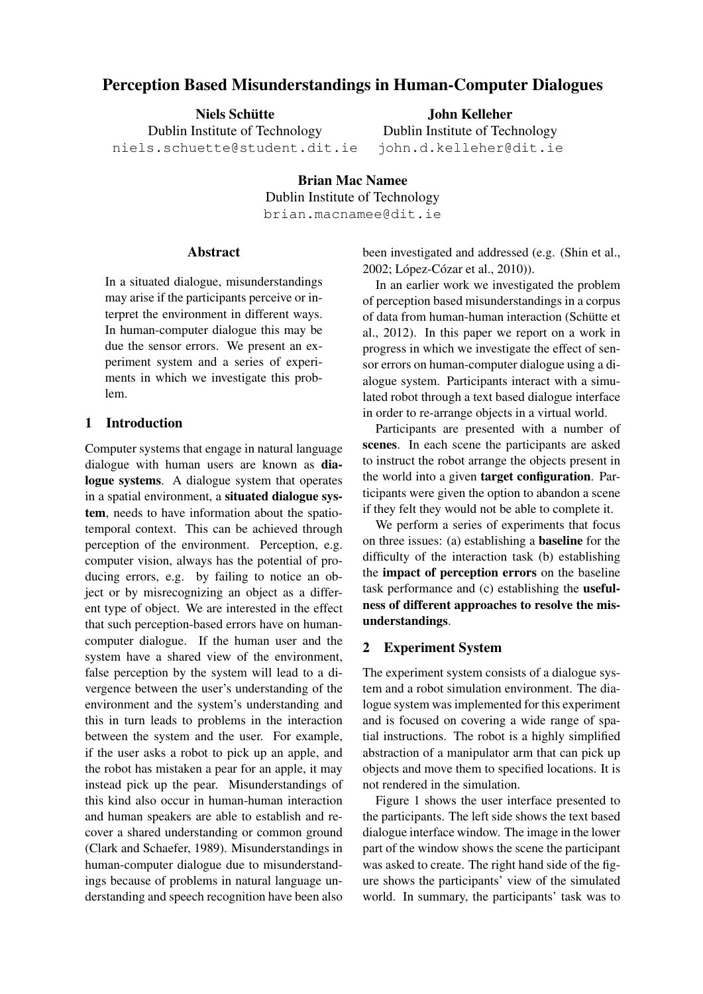# Perception Based Misunderstandings in Human-Computer Dialogues

Niels Schütte Dublin Institute of Technology niels.schuette@student.dit.ie

John Kelleher Dublin Institute of Technology john.d.kelleher@dit.ie

Brian Mac Namee Dublin Institute of Technology brian.macnamee@dit.ie

#### Abstract

In a situated dialogue, misunderstandings may arise if the participants perceive or interpret the environment in different ways. In human-computer dialogue this may be due the sensor errors. We present an experiment system and a series of experiments in which we investigate this problem.

### 1 Introduction

Computer systems that engage in natural language dialogue with human users are known as dialogue systems. A dialogue system that operates in a spatial environment, a situated dialogue system, needs to have information about the spatiotemporal context. This can be achieved through perception of the environment. Perception, e.g. computer vision, always has the potential of producing errors, e.g. by failing to notice an object or by misrecognizing an object as a different type of object. We are interested in the effect that such perception-based errors have on humancomputer dialogue. If the human user and the system have a shared view of the environment, false perception by the system will lead to a divergence between the user's understanding of the environment and the system's understanding and this in turn leads to problems in the interaction between the system and the user. For example, if the user asks a robot to pick up an apple, and the robot has mistaken a pear for an apple, it may instead pick up the pear. Misunderstandings of this kind also occur in human-human interaction and human speakers are able to establish and recover a shared understanding or common ground (Clark and Schaefer, 1989). Misunderstandings in human-computer dialogue due to misunderstandings because of problems in natural language understanding and speech recognition have been also been investigated and addressed (e.g. (Shin et al., 2002; López-Cózar et al., 2010)).

In an earlier work we investigated the problem of perception based misunderstandings in a corpus of data from human-human interaction (Schütte et al., 2012). In this paper we report on a work in progress in which we investigate the effect of sensor errors on human-computer dialogue using a dialogue system. Participants interact with a simulated robot through a text based dialogue interface in order to re-arrange objects in a virtual world.

Participants are presented with a number of scenes. In each scene the participants are asked to instruct the robot arrange the objects present in the world into a given **target configuration**. Participants were given the option to abandon a scene if they felt they would not be able to complete it.

We perform a series of experiments that focus on three issues: (a) establishing a baseline for the difficulty of the interaction task (b) establishing the impact of perception errors on the baseline task performance and (c) establishing the usefulness of different approaches to resolve the misunderstandings.

### 2 Experiment System

The experiment system consists of a dialogue system and a robot simulation environment. The dialogue system was implemented for this experiment and is focused on covering a wide range of spatial instructions. The robot is a highly simplified abstraction of a manipulator arm that can pick up objects and move them to specified locations. It is not rendered in the simulation.

Figure 1 shows the user interface presented to the participants. The left side shows the text based dialogue interface window. The image in the lower part of the window shows the scene the participant was asked to create. The right hand side of the figure shows the participants' view of the simulated world. In summary, the participants' task was to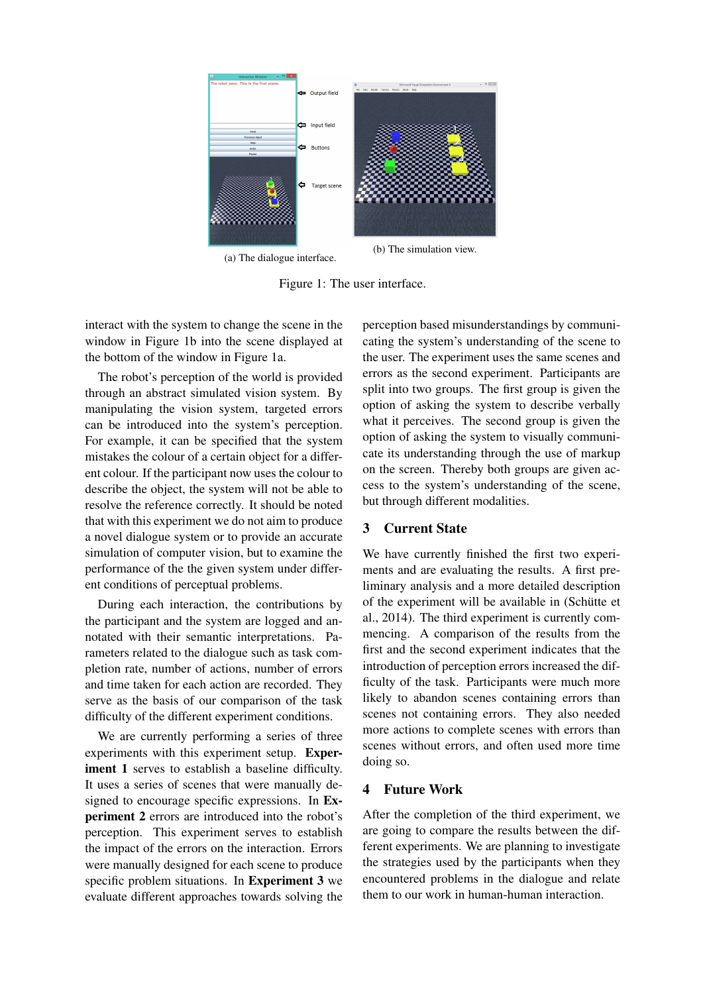

(a) The dialogue interface.

Figure 1: The user interface.

interact with the system to change the scene in the window in Figure 1b into the scene displayed at the bottom of the window in Figure 1a.

The robot's perception of the world is provided through an abstract simulated vision system. By manipulating the vision system, targeted errors can be introduced into the system's perception. For example, it can be specified that the system mistakes the colour of a certain object for a different colour. If the participant now uses the colour to describe the object, the system will not be able to resolve the reference correctly. It should be noted that with this experiment we do not aim to produce a novel dialogue system or to provide an accurate simulation of computer vision, but to examine the performance of the the given system under different conditions of perceptual problems.

During each interaction, the contributions by the participant and the system are logged and annotated with their semantic interpretations. Parameters related to the dialogue such as task completion rate, number of actions, number of errors and time taken for each action are recorded. They serve as the basis of our comparison of the task difficulty of the different experiment conditions.

We are currently performing a series of three experiments with this experiment setup. Experiment 1 serves to establish a baseline difficulty. It uses a series of scenes that were manually designed to encourage specific expressions. In Experiment 2 errors are introduced into the robot's perception. This experiment serves to establish the impact of the errors on the interaction. Errors were manually designed for each scene to produce specific problem situations. In Experiment 3 we evaluate different approaches towards solving the perception based misunderstandings by communicating the system's understanding of the scene to the user. The experiment uses the same scenes and errors as the second experiment. Participants are split into two groups. The first group is given the option of asking the system to describe verbally what it perceives. The second group is given the option of asking the system to visually communicate its understanding through the use of markup on the screen. Thereby both groups are given access to the system's understanding of the scene, but through different modalities.

## 3 Current State

We have currently finished the first two experiments and are evaluating the results. A first preliminary analysis and a more detailed description of the experiment will be available in (Schütte et al., 2014). The third experiment is currently commencing. A comparison of the results from the first and the second experiment indicates that the introduction of perception errors increased the difficulty of the task. Participants were much more likely to abandon scenes containing errors than scenes not containing errors. They also needed more actions to complete scenes with errors than scenes without errors, and often used more time doing so.

### 4 Future Work

After the completion of the third experiment, we are going to compare the results between the different experiments. We are planning to investigate the strategies used by the participants when they encountered problems in the dialogue and relate them to our work in human-human interaction.